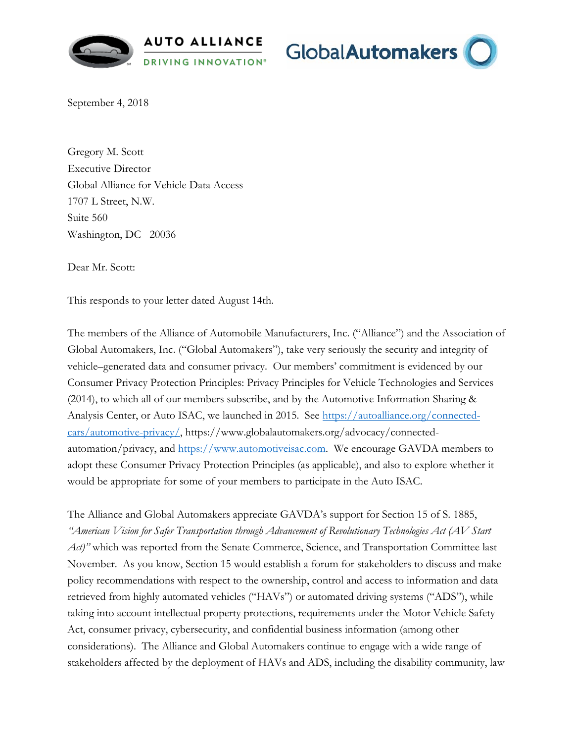



September 4, 2018

Gregory M. Scott Executive Director Global Alliance for Vehicle Data Access 1707 L Street, N.W. Suite 560 Washington, DC 20036

Dear Mr. Scott:

This responds to your letter dated August 14th.

The members of the Alliance of Automobile Manufacturers, Inc. ("Alliance") and the Association of Global Automakers, Inc. ("Global Automakers"), take very seriously the security and integrity of vehicle–generated data and consumer privacy. Our members' commitment is evidenced by our Consumer Privacy Protection Principles: Privacy Principles for Vehicle Technologies and Services (2014), to which all of our members subscribe, and by the Automotive Information Sharing & Analysis Center, or Auto ISAC, we launched in 2015. See [https://autoalliance.org/connected](https://autoalliance.org/connected-cars/automotive-privacy/)[cars/automotive-privacy/,](https://autoalliance.org/connected-cars/automotive-privacy/) https://www.globalautomakers.org/advocacy/connectedautomation/privacy, and [https://www.automotiveisac.com.](https://www.automotiveisac.com/) We encourage GAVDA members to adopt these Consumer Privacy Protection Principles (as applicable), and also to explore whether it would be appropriate for some of your members to participate in the Auto ISAC.

The Alliance and Global Automakers appreciate GAVDA's support for Section 15 of S. 1885, *"American Vision for Safer Transportation through Advancement of Revolutionary Technologies Act (AV Start*  Act)" which was reported from the Senate Commerce, Science, and Transportation Committee last November. As you know, Section 15 would establish a forum for stakeholders to discuss and make policy recommendations with respect to the ownership, control and access to information and data retrieved from highly automated vehicles ("HAVs") or automated driving systems ("ADS"), while taking into account intellectual property protections, requirements under the Motor Vehicle Safety Act, consumer privacy, cybersecurity, and confidential business information (among other considerations). The Alliance and Global Automakers continue to engage with a wide range of stakeholders affected by the deployment of HAVs and ADS, including the disability community, law